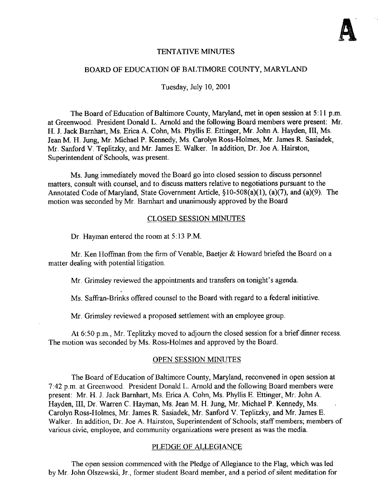

## TENTATIVE MINUTES

#### BOARD OF EDUCATION OF BALTIMORE COUNTY, MARYLAND

Tuesday, July 10, 2001

The Board of Education of Baltimore County, Maryland, met in open session at 5:11 p.m. at Greenwood. President Donald L. Arnold and the following Board members were present: Mr. H. J. Jack Barnhart, Ms. Erica A. Cohn, Ms. Phyllis E. Ettinger, Mr. John A. Hayden, III, Ms. Jean M. H. Jung, Mr. Michael P. Kennedy, Ms. Carolyn Ross-Holmes, Mr. James R. Sasiadek, Mr. Sanford V. Teplitzky, and Mr. James E . Walker. In addition, Dr. Joe A. Hairston, Superintendent of Schools, was present.

Ms. Jung immediately moved the Board go into closed session to discuss personnel matters, consult with counsel, and to discuss matters relative to negotiations pursuant to the Annotated Code of Maryland, State Government Article, §10-508(a)(1), (a)(7), and (a)(9). The motion was seconded by Mr. Barnhart and unanimously approved by the Board

#### CLOSED SESSION MINUTES

Dr. Hayman entered the room at 5:13 P.M.

Mr. Ken Hoffman from the firm of Venable, Baetjer & Howard briefed the Board on <sup>a</sup> matter dealing with potential litigation.

Mr. Grimsley reviewed the appointments and transfers on tonight's agenda.

Ms. Saffran-Brinks offered counsel to the Board with regard to <sup>a</sup> federal initiative .

Mr. Grimsley reviewed <sup>a</sup> proposed settlement with an employee group.

At 6:50 p.m., Mr. Teplitzky moved to adjourn the closed session for a brief dinner recess. The motion was seconded by Ms. Ross-Holmes and approved by the Board.

## OPEN SESSION MINUTES

The Board of Education of Baltimore County, Maryland, reconvened in open session at 7:42 p.m. at Greenwood. President Donald L. Arnold and the following Board members were present: Mr. H. J. Jack Barnhart, Ms. Erica A. Cohn, Ms. Phyllis E. Ettinger, Mr. John A. Hayden, III, Dr. Warren C. Hayman, Ms. Jean M. H. Jung, Mr. Michael P. Kennedy, Ms. Carolyn Ross-Holmes, Mr. James R. Sasiadek, Mr. Sanford V. Teplitzky, and Mr. James E. Walker. In addition, Dr. Joe A. Hairston, Superintendent of Schools; staff members; members of various civic, employee, and community organizations were present as was the media.

#### PLEDGE OF ALLEGIANCE

The open session commenced with the Pledge of Allegiance to the Flag, which was led by Mr. John Olszewski, Jr ., former student Board member, and a period of silent meditation for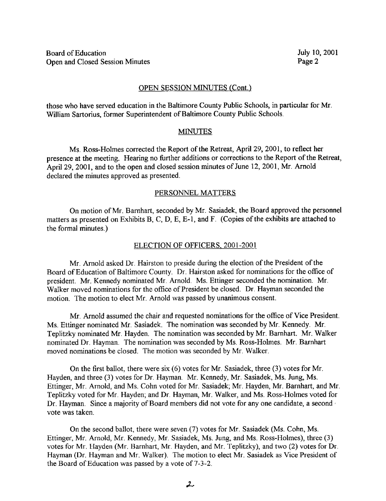## OPEN SESSION MINUTES (Cont.)

those who have served education in the Baltimore County Public Schools, in particular for Mr. William Sartorius, former Superintendent of Baltimore County Public Schools.

#### **MINUTES**

Ms . Ross-Holmes corrected the Report of the Retreat, April 29, 2001, to reflect her presence at the meeting. Hearing no further additions or corrections to the Report of the Retreat, April 29, 2001, and to the open and closed session minutes of June 12, 2001, Mr. Arnold declared the minutes approved as presented.

#### PERSONNEL MATTERS

On motion of Mr. Barnhart, seconded by Mr. Sasiadek, the Board approved the personnel matters as presented on Exhibits B, C, D, E, E-1, and F. (Copies of the exhibits are attached to the formal minutes .)

## ELECTION OF OFFICERS, 2001-2001

Mr. Arnold asked Dr. Hairston to preside during the election of the President of the Board of Education of Baltimore County. Dr. Hairston asked for nominations for the office of president. Mr. Kennedy nominated Mr. Arnold. Ms. Ettinger seconded the nomination. Mr. Walker moved nominations for the office of President be closed. Dr. Hayman seconded the motion. The motion to elect Mr. Arnold was passed by unanimous consent.

Mr. Arnold assumed the chair and requested nominations for the office of Vice President. Ms. Ettinger nominated Mr. Sasiadek. The nomination was seconded by Mr. Kennedy. Mr. Teplitzky nominated Mr. Hayden. The nomination was seconded by Mr. Barnhart. Mr. Walker nominated Dr. Hayman. The nomination was seconded by Ms. Ross-Holmes. Mr. Barnhart moved nominations be closed. The motion was seconded by Mr . Walker.

On the first ballot, there were six (6) votes for Mr. Sasiadek, three (3) votes for Mr. Hayden, and three (3) votes for Dr. Hayman. Mr. Kennedy, Mr. Sasiadek, Ms. Jung, Ms. Ettinger, Mr. Arnold, and Ms. Cohn voted for Mr. Sasiadek; Mr . Hayden, Mr. Barnhart, and Mr. Teplitzky voted for Mr. Hayden; and Dr. Hayman, Mr. Walker, and Ms. Ross-Holmes voted for Dr. Hayman. Since a majority of Board members did not vote for any one candidate, a second vote was taken.

On the second ballot, there were seven (7) votes for Mr. Sasiadek (Ms. Cohn, Ms. Ettinger, Mr. Arnold, Mr. Kennedy, Mr. Sasiadek, Ms. Jung, and Ms. Ross-Holmes), three (3) votes for Mr. Hayden (Mr. Barnhart, Mr. Hayden, and Mr. Teplitzky), and two (2) votes for Dr. Hayman (Dr. Hayman and Mr. Walker). The motion to elect Mr. Sasiadek as Vice President of the Board of Education was passed by <sup>a</sup> vote of 7-3-2 .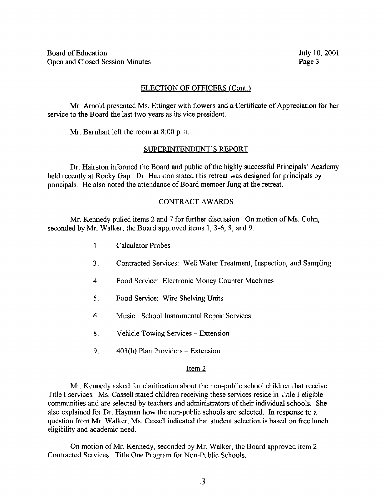# ELECTION OF OFFICERS (Cont.)

Mr. Arnold presented Ms . Ettinger with flowers and a Certificate of Appreciation for her service to the Board the last two years as its vice president.

Mr. Barnhart left the room at <sup>8</sup> :00 p.m.

#### SUPERINTENDENT'S REPORT

Dr. Hairston informed the Board and public of the highly successful Principals' Academy held recently at Rocky Gap. Dr. Hairston stated this retreat was designed for principals by principals. He also noted the attendance of Board member Jung at the retreat.

## CONTRACT AWARDS

Mr. Kennedy pulled items <sup>2</sup> and <sup>7</sup> for further discussion. On motion of Ms. Cohn, seconded by Mr. Walker, the Board approved items 1, 3-6, 8, and 9.

- <sup>l</sup> . Calculator Probes
- 3. Contracted Services: Well Water Treatment, Inspection, and Sampling
- 4 . Food Service: Electronic Money Counter Machines
- <sup>5</sup> . Food Service: Wire Shelving Units
- 6. Music: School Instrumental Repair Services
- 8. Vehicle Towing Services Extension
- 9.  $403(b)$  Plan Providers Extension

#### Item 2

Mr. Kennedy asked for clarification about the non-public school children that receive Title <sup>I</sup> services. Ms. Cassell stated children receiving these services reside in Title <sup>I</sup> eligible communities and are selected by teachers and administrators of their individual schools. She also explained for Dr. Hayman how the non-public schools are selected . In response to a question from Mr. Walker, Ms. Cassell indicated that student selection is based on free lunch eligibility and academic need .

On motion of Mr. Kennedy, seconded by Mr. Walker, the Board approved item  $2-$ Contracted Services: Title One Program for Non-Public Schools.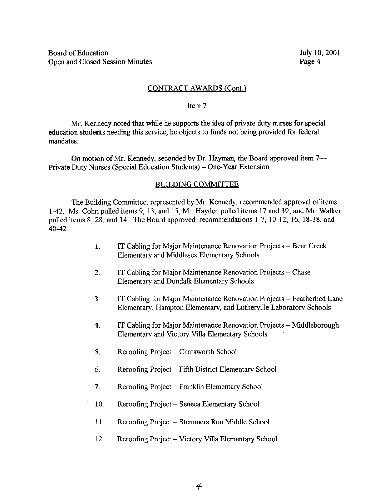## CONTRACT AWARDS (Cont.)

#### Item 7

Mr. Kennedy noted that while he supports the idea of private duty nurses for special education students needing this service, he objects to funds not being provided for federal mandates.

On motion of Mr. Kennedy, seconded by Dr. Hayman, the Board approved item 7—<br>Private Duty Nurses (Special Education Students) – One-Year Extension.

#### BUILDING COMMITTEE

The Building Committee, represented by Mr. Kennedy, recommended approval of items 1-42 . Ms. Cohn pulled items 9, 13, and 15; Mr. Hayden pulled items <sup>17</sup> and 39; and Mr. Walker pulled items 8, 28, and 14. The Board approved recommendations 1-7, 10-12, 16, 18-38, and 40-42 .

- <sup>1</sup> . IT Cabling for Major Maintenance Renovation Projects Bear Creek Elementary and Middlesex Elementary Schools
- 2. IT Cabling for Major Maintenance Renovation Projects Chase Elementary and Dundalk Elementary Schools
- 3 . IT Cabling for Major Maintenance Renovation Projects Featherbed Lane Elementary, Hampton Elementary, and Lutherville Laboratory Schools
- 4. IT Cabling for Major Maintenance Renovation Projects Middleborough Elementary and Victory Villa Elementary Schools
- 5. Reroofing Project Chatsworth School
- 6. Reroofing Project Fifth District Elementary School
- 7. Reroofing Project Franklin Elementary School
- 10. Reroofing Project -- Seneca Elementary School
- 11. Reroofing Project Stemmers Run Middle School
- 12. Reroofing Project Victory Villa Elementary School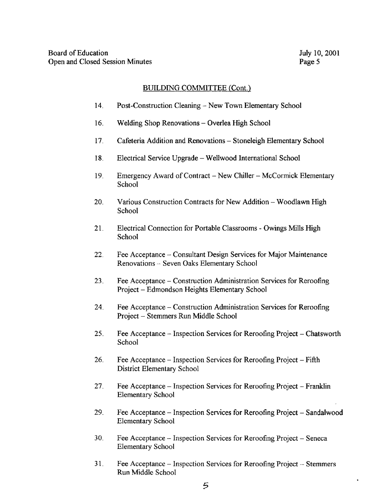# BUILDING COMMITTEE (Cont.)

- 14. Post-Construction Cleaning New Town Elementary School
- 16. Welding Shop Renovations Overlea High School
- 17. Cafeteria Addition and Renovations Stoneleigh Elementary School
- 18 . Electrical Service Upgrade Wellwood International School
- <sup>19</sup> . Emergency Award of Contract New Chiller McCormick Elementary School
- 20. Various Construction Contracts for New Addition -- Woodlawn High School
- 21. Electrical Connection for Portable Classrooms Owings Mills High School
- 22 . Fee Acceptance Consultant Design Services for Major Maintenance Renovations -- Seven Oaks Elementary School
- 23 . Fee Acceptance Construction Administration Services for Reroofing Project - Edmondson Heights Elementary School
- 24 . Fee Acceptance Construction Administration Services for Reroofing Project - Stemmers Run Middle School
- 25. Fee Acceptance Inspection Services for Reroofing Project Chatsworth School
- 26. Fee Acceptance Inspection Services for Reroofing Project Fifth District Elementary School
- 27 . Fee Acceptance Inspection Services for Reroofng Project Franklin Elementary School
- 29. Fee Acceptance Inspection Services for Reroofing Project Sandalwood Elementary School
- 30 . Fee Acceptance Inspection Services for Reroofing Project Seneca Elementary School
- 31. Fee Acceptance Inspection Services for Reroofing Project Stemmers Run Middle School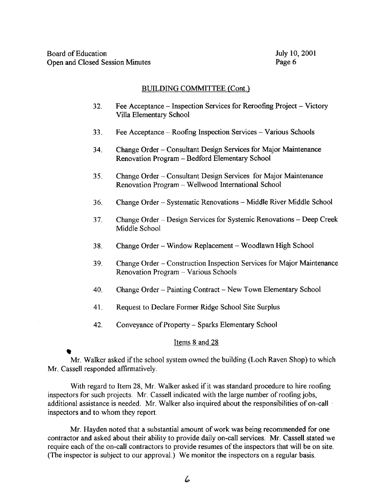## BUILDING COMMITTEE (Cont.)

- 32. Fee Acceptance Inspection Services for Reroofing Project Victory Villa Elementary School
- 33. Fee Acceptance -- Roofing Inspection Services -- Various Schools
- 34 . Change Order Consultant Design Services for Major Maintenance Renovation Program - Bedford Elementary School
- 35 . Change Order Consultant Design Services for Major Maintenance Renovation Program - Wellwood International School
- 36. Change Order -- Systematic Renovations -- Middle River Middle School
- 37. Change Order Design Services for Systemic Renovations Deep Creek Middle School
- 38. Change Order Window Replacement Woodlawn High School
- 39. Change Order Construction Inspection Services for Major Maintenance Renovation Program -- Various Schools
- 40. Change Order Painting Contract New Town Elementary School
- 41. Request to Declare Former Ridge School Site Surplus
- 42. Conveyance of Property Sparks Elementary School

## Items 8 and 28

# Mr. Walker asked if the school system owned the building (Loch Raven Shop) to which Mr. Cassell responded affirmatively.

With regard to Item 28, Mr. Walker asked if it was standard procedure to hire roofing inspectors for such projects . Mr. Cassell indicated with the large number of roofing jobs, additional assistance is needed. Mr. Walker also inquired about the responsibilities of on-call inspectors and to whom they report.

Mr. Hayden noted that <sup>a</sup> substantial amount ofwork was being recommended for one contractor and asked about their ability to provide daily on-call services. Mr. Cassell stated we require each of the on-call contractors to provide resumes of the inspectors that will be on site. (The inspector is subject to our approval.) We monitor the inspectors on <sup>a</sup> regular basis .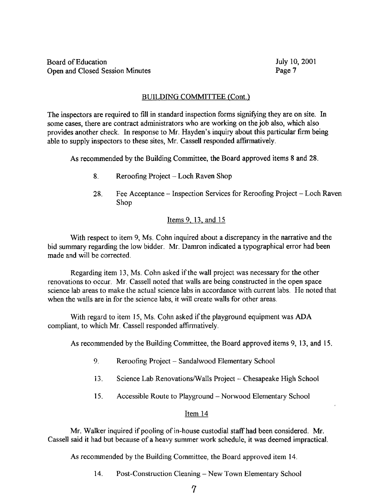# BUILDING COMMITTEE (Cont.)

The inspectors are required to fill in standard inspection forms signifying they are on site. In some cases, there are contract administrators who are working on the job also, which also provides another check. In response to Mr. Hayden's inquiry about this particular firm being able to supply inspectors to these sites, Mr. Cassell responded affirmatively .

As recommended by the Building Committee, the Board approved items <sup>8</sup> and 28.

- 8. Reroofing Project Loch Raven Shop
- 28. Fee Acceptance Inspection Services for Reroofing Project Loch Raven Shop

# Items 9, 13, and 15

With respect to item 9, Ms. Cohn inquired about a discrepancy in the narrative and the bid summary regarding the low bidder. Mr. Damron indicated <sup>a</sup> typographical error had been made and will be corrected.

Regarding item 13, Ms. Cohn asked if the wall project was necessary for the other renovations to occur. Mr. Cassell noted that walls are being constructed in the open space science lab areas to make the actual science labs in accordance with current labs. He noted that when the walls are in for the science labs, it will create walls for other areas.

With regard to item 15, Ms. Cohn asked if the playground equipment was ADA compliant, to which Mr. Cassell responded affirmatively.

As recommended by the Building Committee, the Board approved items 9, 13, and 15.

- 9 . Reroofing Project Sandalwood Elementary School
- 13. Science Lab Renovations/Walls Project -- Chesapeake High School
- 15. Accessible Route to Playground Norwood Elementary School

# Item 14

Mr. Walker inquired if pooling of in-house custodial staff had been considered. Mr. Cassell said it had but because of a heavy summer work schedule, it was deemed impractical .

As recommended by the Building Committee, the Board approved item 14.

14. Post-Construction Cleaning - New Town Elementary School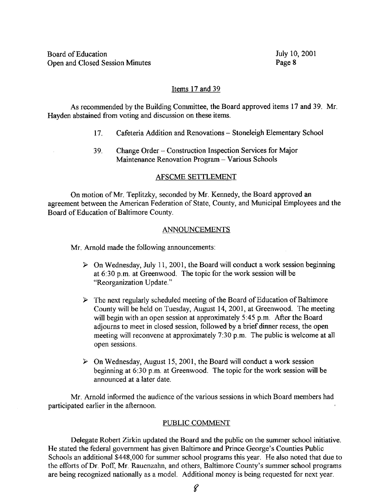## Items 17 and 39

As recommended by the Building Committee, the Board approved items 17 and 39. Mr. Hayden abstained from voting and discussion on these items.

- 17. Cafeteria Addition and Renovations Stoneleigh Elementary School
- 39. Change Order Construction Inspection Services for Major Maintenance Renovation Program - Various Schools

#### AFSCME SETTLEMENT

On motion of Mr. Teplitzky, seconded by Mr. Kennedy, the Board approved an agreement between the American Federation of State, County, and Municipal Employees and the Board of Education of Baltimore County.

#### ANNOUNCEMENTS

Mr. Arnold made the following announcements:

- $\triangleright$  On Wednesday, July 11, 2001, the Board will conduct a work session beginning at 6:30 p.m. at Greenwood. The topic for the work session will be "Reorganization Update."
- $\triangleright$  The next regularly scheduled meeting of the Board of Education of Baltimore County will be held on Tuesday, August 14, 2001, at Greenwood. The meeting will begin with an open session at approximately 5:45 p.m. After the Board adjourns to meet in closed session, followed by a brief dinner recess, the open meeting will reconvene at approximately 7:30 p.m. The public is welcome at all open sessions.
- $\triangleright$  On Wednesday, August 15, 2001, the Board will conduct a work session beginning at 6:30 p.m. at Greenwood. The topic for the work session will be announced at a later date.

Mr. Arnold informed the audience of the various sessions in which Board members had participated earlier in the afternoon.

#### PUBLIC COMMENT

Delegate Robert Zirkin updated the Board and the public on the summer school initiative . He stated the federal government has given Baltimore and Prince George's Counties Public Schools an additional \$448,000 for summer school programs this year. He also noted that due to the efforts of Dr. Poff, Mr. Rauenzahn, and others, Baltimore County's summer school programs are being recognized nationally as a model. Additional money is being requested for next year.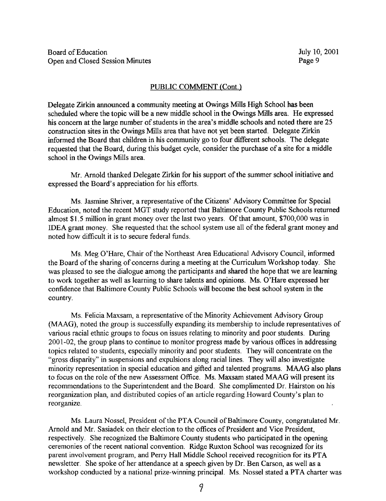#### PUBLIC COMMENT (Cont.)

Delegate Zirkin announced a community meeting at Owings Mills High School has been scheduled where the topic will be a new middle school in the Owings Mills area. He expressed his concern at the large number of students in the area's middle schools and noted there are 25 construction sites in the Owings Mills area that have not yet been started. Delegate Zirkin informed the Board that children in his community go to four different schools. The delegate requested that the Board, during this budget cycle, consider the purchase of a site for a middle school in the Owings Mills area.

Mr. Arnold thanked Delegate Zirkin for his support of the summer school initiative and expressed the Board's appreciation for his efforts .

Ms . Jasmine Shriver, <sup>a</sup> representative of the Citizens' Advisory Committee for Special Education, noted the recent MGT study reported that Baltimore County Public Schools returned almost \$1 .5 million in grant money over the last two years . Of that amount, \$700,000 was in IDEA grant money. She requested that the school system use all of the federal grant money and noted how difficult it is to secure federal funds.

Ms . Meg O'Hare, Chair of the Northeast Area Educational Advisory Council, informed the Board of the sharing of concerns during a meeting at the Curriculum Workshop today. She was pleased to see the dialogue among the participants and shared the hope that we are learning to work together as well as learning to share talents and opinions. Ms. O'Hare expressed her confidence that Baltimore County Public Schools will become the best school system in the country.

Ms. Felicia Maxsam, <sup>a</sup> representative of the Minority Achievement Advisory Group (MAAG), noted the group is successfully expanding its membership to include representatives of various racial ethnic groups to focus on issues relating to minority and poor students. During 2001-02, the group plans to continue to monitor progress made by various offices in addressing topics related to students, especially minority and poor students. They will concentrate on the "gross disparity" in suspensions and expulsions along racial lines. They will also investigate minority representation in special education and gifted and talented programs. MAAG also plans to focus on the role of the new Assessment Office. Ms. Maxsam stated MAAG will present its recommendations to the Superintendent and the Board. She complimented Dr. Hairston on his reorganization plan, and distributed copies of an article regarding Howard County's plan to reorganize.

Ms. Laura Nossel, President of the PTA Council of Baltimore County, congratulated Mr. Arnold and Mr. Sasiadek on their election to the offices of President and Vice President, respectively. She recognized the Baltimore County students who participated in the opening ceremonies of the recent national convention . Ridge Ruxton School was recognized for its parent involvement program, and Perry Hall Middle School received recognition for its PTA newsletter. She spoke of her attendance at a speech given by Dr. Ben Carson, as well as a workshop conducted by a national prize-winning principal. Ms. Nossel stated a PTA charter was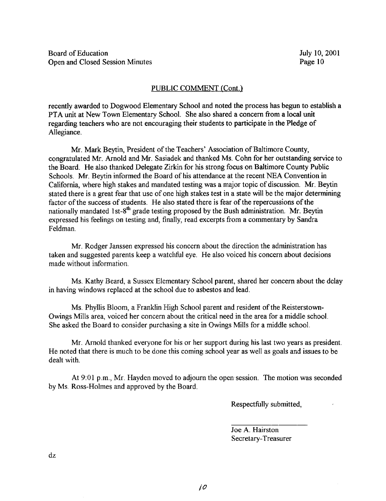# PUBLIC COMMENT (Cont.)

recently awarded to Dogwood Elementary School and noted the process has begun to establish a PTA unit at New Town Elementary School. She also shared <sup>a</sup> concern from <sup>a</sup> local unit regarding teachers who are not encouraging their students to participate in the Pledge of Allegiance.

Mr. Mark Beytin, President of the Teachers' Association of Baltimore County, congratulated Mr. Arnold and Mr. Sasiadek and thanked Ms. Cohn for her outstanding service to the Board. He also thanked Delegate Zirkin for his strong focus on Baltimore County Public Schools. Mr. Beytin informed the Board of his attendance at the recent NEA Convention in California, where high stakes and mandated testing was <sup>a</sup> major topic of discussion. Mr. Beytin stated there is a great fear that use of one high stakes test in a state will be the major determining factor of the success of students. He also stated there is fear of the repercussions of the nationally mandated 1st-8<sup>th</sup> grade testing proposed by the Bush administration. Mr. Beytin expressed his feelings on testing and, finally, read excerpts from a commentary by Sandra Feldman.

Mr. Rodger Janssen expressed his concern about the direction the administration has taken and suggested parents keep a watchful eye. He also voiced his concern about decisions made without information.

Ms. Kathy Beard, <sup>a</sup> Sussex Elementary School parent, shared her concern about the delay in having windows replaced at the school due to asbestos and lead.

Ms. Phyllis Bloom, a Franklin High School parent and resident of the Reisterstown-Owings Mills area, voiced her concern about the critical need in the area for a middle school. She asked the Board to consider purchasing a site in Owings Mills for a middle school.

Mr. Arnold thanked everyone for his or her support during his last two years as president. He noted that there is much to be done this coming school year as well as goals and issues to be dealt with.

At 9:01 p.m., Mr. Hayden moved to adjourn the open session. The motion was seconded by Ms. Ross-Holmes and approved by the Board.

Respectfully submitted,

Joe A. Hairston Secretary-Treasurer

dz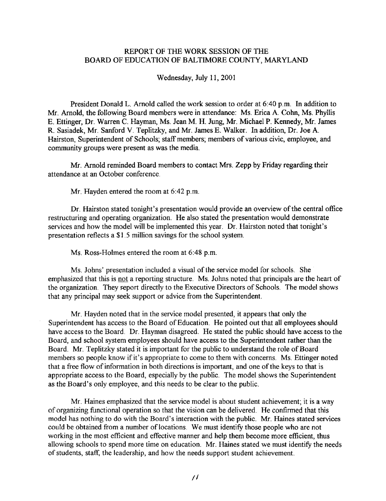# REPORT OF THE WORK SESSION OF THE BOARD OF EDUCATION OF BALTIMORE COUNTY, MARYLAND

Wednesday, July 11, 2001

President Donald L. Arnold called the work session to order at 6:40 p.m. In addition to Mr. Arnold, the following Board members were in attendance: Ms. Erica A. Cohn, Ms. Phyllis E. Ettinger, Dr. Warren C. Hayman, Ms. Jean M. H. Jung, Mr. Michael P. Kennedy, Mr. James R. Sasiadek, Mr. Sanford V. Teplitzky, and Mr. James E. Walker. In addition, Dr. Joe A. Hairston, Superintendent of Schools; staff members; members of various civic, employee, and community groups were present as was the media.

Mr. Arnold reminded Board members to contact Mrs. Zepp by Friday regarding their attendance at an October conference .

Mr. Hayden entered the room at 6:42 p.m.

Dr. Hairston stated tonight's presentation would provide an overview of the central office restructuring and operating organization . He also stated the presentation would demonstrate services and how the model will be implemented this year. Dr. Hairston noted that tonight's presentation reflects a \$1 .5 million savings for the school system.

Ms. Ross-Holmes entered the room at 6:48 p.m.

Ms. Johns' presentation included a visual of the service model for schools. She emphasized that this is not a reporting structure. Ms. Johns noted that principals are the heart of the organization. They report directly to the Executive Directors of Schools. The model shows that any principal may seek support or advice from the Superintendent.

Mr. Hayden noted that in the service model presented, it appears that only the Superintendent has access to the Board of Education. He pointed out that all employees should have access to the Board. Dr. Hayman disagreed. He stated the public should have access to the Board, and school system employees should have access to the Superintendent rather than the Board. Mr. Teplitzky stated it is important for the public to understand the role of Board members so people know if it's appropriate to come to them with concerns. Ms. Ettinger noted that a free flow of information in both directions is important, and one of the keys to that is appropriate access to the Board, especially by the public. The model shows the Superintendent as the Board's only employee, and this needs to be clear to the public.

Mr. Haines emphasized that the service model is about student achievement; it is <sup>a</sup> way of organizing functional operation so that the vision can be delivered . He confirmed that this model has nothing to do with the Board's interaction with the public . Mr. Haines stated services could be obtained from <sup>a</sup> number of locations . We must identify those people who are not working in the most efficient and effective manner and help them become more efficient, thus allowing schools to spend more time on education. Mr. Haines stated we must identify the needs of students, staff, the leadership, and how the needs support student achievement .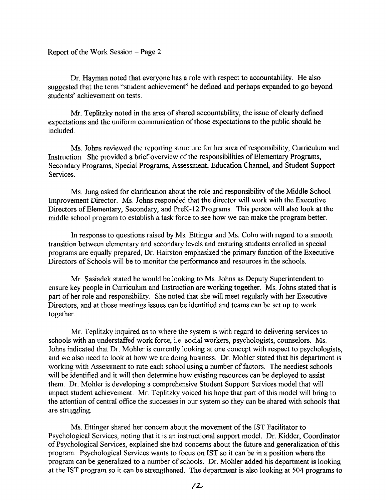Report of the Work Session  $-$  Page 2

Dr. Hayman noted that everyone has a role with respect to accountability. He also suggested that the term "student achievement" be defined and perhaps expanded to go beyond students' achievement on tests.

Mr. Teplitzky noted in the area of shared accountability, the issue of clearly defined expectations and the uniform communication of those expectations to the public should be included.

Ms. Johns reviewed the reporting structure for her area of responsibility, Curriculum and Instruction. She provided a brief overview of the responsibilities of Elementary Programs, Secondary Programs, Special Programs, Assessment, Education Channel, and Student Support Services.

Ms. Jung asked for clarification about the role and responsibility of the Middle School Improvement Director. Ms. Johns responded that the director will work with the Executive Directors of Elementary, Secondary, and PreK-12 Programs. This person will also look at the middle school program to establish a task force to see how we can make the program better .

In response to questions raised by Ms. Ettinger and Ms. Cohn with regard to <sup>a</sup> smooth transition between elementary and secondary levels and ensuring students enrolled in special programs are equally prepared, Dr. Hairston emphasized the primary function of the Executive Directors of Schools will be to monitor the performance and resources in the schools.

Mr . Sasiadek stated he would be looking to Ms. Johns as Deputy Superintendent to ensure key people in Curriculum and Instruction are working together. Ms. Johns stated that is part of her role and responsibility. She noted that she will meet regularly with her Executive Directors, and at those meetings issues can be identified and teams can be set up to work together.

Mr. Teplitzky inquired as to where the system is with regard to delivering services to schools with an understaffed work force, i.e. social workers, psychologists, counselors. Ms. Johns indicated that Dr. Mohler is currently looking at one concept with respect to psychologists, and we also need to look at how we are doing business. Dr. Mohler stated that his department is working with Assessment to rate each school using a number of factors. The neediest schools will be identified and it will then determine how existing resources can be deployed to assist them. Dr. Mohler is developing <sup>a</sup> comprehensive Student Support Services model that will impact student achievement. Mr. Teplitzky voiced his hope that part of this model will bring to the attention of central office the successes in our system so they can be shared with schools that are struggling.

Ms . Ettinger shared her concern about the movement of the IST Facilitator to Psychological Services, noting that it is an instructional support model. Dr. Kidder, Coordinator of Psychological Services, explained she had concerns about the future and generalization of this program. Psychological Services wants to focus on IST so it can be in a position where the program can be generalized to a number of schools . Dr. Mohler added his department is looking at the IST program so it can be strengthened. The department is also looking at 504 programs to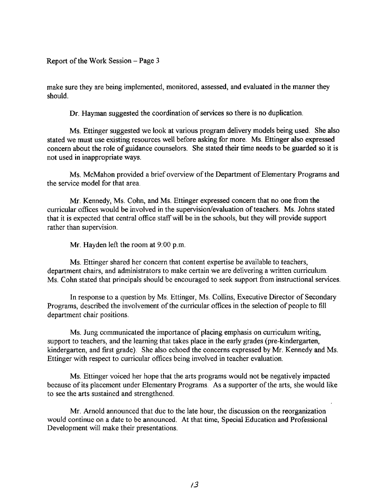Report of the Work Session  $-$  Page 3

make sure they are being implemented, monitored, assessed, and evaluated in the manner they should.

Dr. Hayman suggested the coordination of services so there is no duplication.

Ms. Ettinger suggested we look at various program delivery models being used. She also stated we must use existing resources well before asking for more. Ms. Ettinger also expressed concern about the role of guidance counselors. She stated their time needs to be guarded so it is not used in inappropriate ways.

Ms. McMahon provided a brief overview of the Department of Elementary Programs and the service model for that area.

Mr. Kennedy, Ms. Cohn, and Ms. Ettinger expressed concern that no one from the curricular offices would be involved in the supervision/evaluation of teachers. Ms. Johns stated that it is expected that central office staff will be in the schools, but they will provide support rather than supervision.

Mr. Hayden left the room at 9:00 p.m.

Ms. Ettinger shared her concern that content expertise be available to teachers, department chairs, and administrators to make certain we are delivering <sup>a</sup> written curriculum. Ms. Cohn stated that principals should be encouraged to seek support from instructional services .

In response to <sup>a</sup> question by Ms. Ettinger, Ms. Collins, Executive Director of Secondary Programs, described the involvement of the curricular offices in the selection of people to fill department chair positions.

Ms. Jung communicated the importance of placing emphasis on curriculum writing, support to teachers, and the learning that takes place in the early grades (pre-kindergarten, kindergarten, and first grade) . She also echoed the concerns expressed by Mr. Kennedy and Ms. Ettinger with respect to curricular offices being involved in teacher evaluation.

Ms. Ettinger voiced her hope that the arts programs would not be negatively impacted because of its placement under Elementary Programs. As a supporter of the arts, she would like to see the arts sustained and strengthened.

Mr. Arnold announced that due to the late hour, the discussion on the reorganization would continue on a date to be announced. At that time, Special Education and Professional Development will make their presentations.